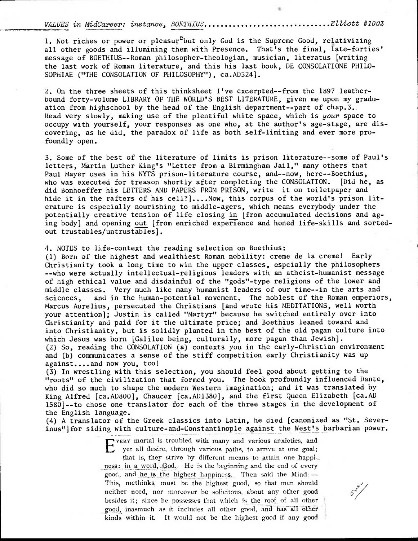VALUES in MidCareer: instance BOETHIUS **4** Elliott #1003

1. Not riches or power or pleasur<sup>e</sup>but only God is the Supreme Good, relativizing all other goods and illumining them with Presence. That's the final, late-forties' message of BOETHIUS--Roman philosopher-theologian, musician, literatus [writing the last work of Roman literature, and this his last book, DE CONSOLATIONE PHILO-SOPHIAE ("THE CONSOLATION OF PHILOSOPHY"), ca.AD524].

2. On the three sheets of this thinksheet I've excerpted--from the 1897 leatherbound forty-volume LIBRARY OF THE WORLD'S BEST LITERATURE, given me upon my graduation from highschool by the head of the English department--part of chap.3. Read very slowly, making use of the plentiful white space, which is your space to occupy with yourself, your responses as one who, at the author's age-stage, are discovering, as he did, the paradox of life as both self-limiting and ever more profoundly open.

3. Some of the best of the literature of limits is prison literature--some of Paul's letters, Martin Luther King's "Letter from a Birmingham Jail," many others that Paul Mayer uses in his NYTS prison-literature course, and--now, here--Boethius, who was executed for treason shortly after completing the CONSOLATION. [Did he, as did Bonhoeffer his LETTERS AND PAPERS FROM PRISON, write it on toiletpaper and hide it in the rafters of his cell?]....Now, this corpus of the world's prison literature is especially nourishing to middle-agers, which means everybody under the potentially creative tension of life closing in [from accumulated decisions and aging body] and opening out [from enriched experience and honed life-skills and sortedout trustables/untrustables].

4. NOTES to life-context the reading selection on Boethius:

(1) Born of the highest and wealthiest Roman nobility: creme de la creme! Early Christianity took a long time to win the upper classes, espcially the philosophers --who were actually intellectual-religious leaders with an atheist-humanist message of high ethical value and disdainful of the "gods"-type religions of the lower and middle classes. Very much like many humanist leaders of our time--in the arts and sciences, and in the human-potential movement. The noblest of the Roman emperiors, Marcus Aurelius, persecuted the Christians [and wrote his MEDITATIONS, well worth your attention]; Justin is called "Martyr" because he switched entirely over into Christianity and paid for it the ultimate price; and Boethius leaned toward and into Christianity, but is solidly planted in the best of the old pagan culture into which Jesus was born [Galilee being, culturally, more pagan than Jewish]. (2)So, reading the CONSOLATION (a) contexts you in the early-Christian environment and (b) communicates a sense of the stiff competition early Christianity was up against....and now you, too!

(3) In wrestling with this selection, you should feel good about getting to the "roots" of the civilization that formed you. The book profoundly influenced Dante, who did so much to shape the modern Western imagination; and it was translated by King Alfred [ca.AD800], Chaucer [ca.AD1380], and the first Queen Elizabeth [ca.AD 15801--to chose one translator for each of the three stages in the development of the English language.

(4) A translator of the Greek classics into Latin, he died [canonized as "St. Severinus"]for siding with culture-and-Constantinople against the West's barbarian power.

> EVERY mortal is troubled with many and various anxieties, and vERY mortal is troubled with many and various anxieties, and that is, they strive by different means to attain one happi-, ness: in a word, God.; He is the beginning and the end of every good, and he is the highest happiness.. Then said the Mind:— This, methinks, must be the highest good, so that men should neither need, nor moreover be solicitous, about any other good besides it; since he possesses that which is the roof, of all other good, inasmuch as it includes all other good, and has all other kinds within it. It would not be the highest good if any good

 $\mathcal{S}'$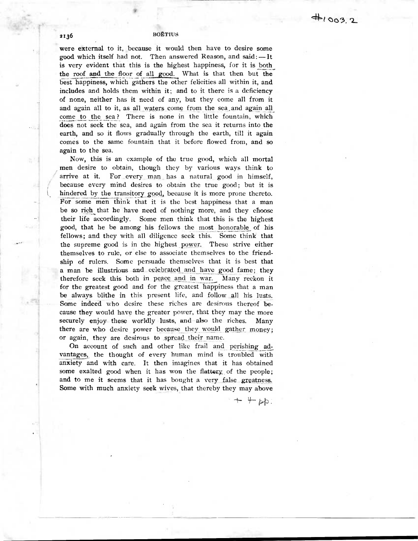were external to it, because it would then have to desire some good which itself had not. Then answered Reason, and said: —It is very evident that this is the highest happiness, for it is both\_ the roof and the floor of all good. What is that then but the best–happiness, which gathers the other felicities all within it, and includes and holds them within it; and to it there is a deficiency of none, neither has it need of any, but they come all from it and again all to it, as all waters come from the sea,and again all come to the sea? There is none in the little fountain, which does not seek the sea, and again from the sea it returns into the earth, and so it flows gradually through the earth, till it again comes to the same fountain that it before flowed from, and so again to the sea.

Now, this is an example of the true good, which all mortal men desire to obtain, though they by various ways think to arrive at it. For every man has a natural good in himself, because every mind desires to obtain the true good; but it is hindered by the transitory good, because it is more prone thereto. For some men think that it is the best happiness that a man be so rich that he have need of nothing more, and they choose their life accordingly. Some men think that this is the highest good, that he be among his fellows the most honorable of his fellows; and they with all diligence seek this. Some think that the supreme good is in the highest power. These strive either themselves to rule, or else to associate themselves to the friendship of rulers. Some persuade themselves that it is best that a man be illustrious and celebrated and have good fame; they therefore seek this both in peace and in war. Many reckon it for the greatest good and for the greatest happiness that a man be always blithe in this present life, and follow all his lusts. Some indeed who desire these riches are desirous thereof because they would have the greater power, that they may the more securely enjoy these worldly lusts, and also the riches. Many there are who desire power because they would gather money; or again, they are desirous to spread their name.

On account of such and other like frail and perishing advantages, the thought of every human mind is troubled with anxiety and with care. It then imagines that it has obtained some exalted good when it has won the flattery of the people; and to me it seems that it has bought a very false greatness. Some with much anxiety seek wives, that thereby they may above

 $++pp$ .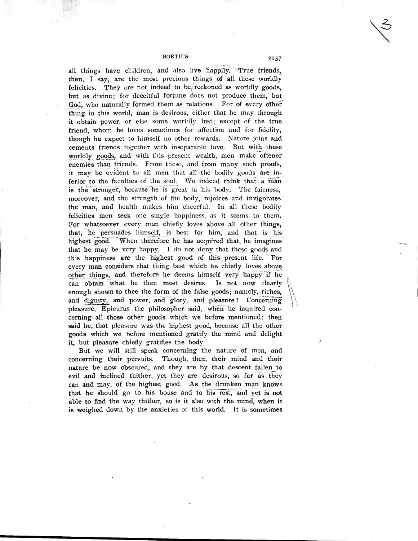BOETIUS 2137

all things have children, and also live happily. True friends, then, I say, are the most precious things of all these worldly felicities. They are not indeed to be/reckoned as worldly goods, but as divine; for deceitful fortune does not produce them, but God, who naturally formed them as relations. For of every otherthing in this world, man is desirous, either that he may through it obtain power, or else some worldly lust; except of the true friend, whom he loves sometimes for affection and for fidelity, though he expect to himself no other rewards. Nature joins and cements friends together with inseparable love. But with these worldly goods, and with this present wealth, men make oftener enemies than friends. From these, and from many such proofs, it may be evident to all men that all the bodily goods are inferior to the faculties of the soul. We indeed think that a man is the stronger, because he is great in his body. The fairness, moreover, and the strength of the body, rejoices and invigorates the man, and health makes him cheerful. In all these bodily felicities men seek one single happiness, as it seems to them. For whatsoever every man chiefly loves above all other things, that, he persuades himself, is best for him, and that is his highest good. When therefore he has acquired that, he imagines that he may be very happy. I do not deny that these goods and this happiness are the highest good of this present life. For every man considers that thing best which he chiefly loves above other things, and therefore he deems himself very happy if he can obtain what he then most desires. Is not now clearly enough shown to thee the form of the false goods; namely, riches, and dignity, and power, and glory, and pleasure? Concerning pleasure, Epicurus the philosopher said, when he inquired concerning all those other goods which we before mentioned: then said he, that pleasure was the highest good, because all the other goods which we before mentioned gratify the mind and delight it, but pleasure chiefly gratifies the body.

But we will still speak concerning the nature of men, and concerning their pursuits. Though, then, their mind and their nature be now obscured, and they are by that descent fallen to evil and inclined thither, yet they are desirous, so far as they can and may, of the highest good. As the drunken man knows that he should go to his house and to his rest, and yet is not able to find the way thither, so is it also with the mind, when it is weighed down by the anxieties of this world. It is sometimes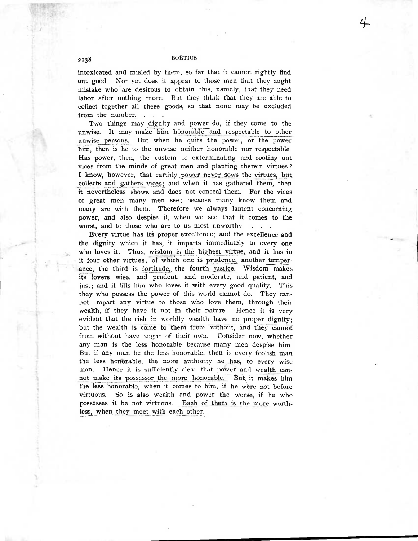intoxicated and misled by them, so far that it cannot rightly find out good. Nor yet does it appear to those men that they aught mistake who are desirous to obtain this, namely, that they need labor after nothing more. But they think that they are able to collect together all these goods, so that none may be excluded from the number. . . .

Two things may dignity and power do, if they come to the unwise. It may make him honorable and respectable to other unwise persons. But when he quits the power, or the power him, then is he to the unwise neither honorable nor respectable. Has power, then, the custom of exterminating and rooting out vices from the minds of great men and planting therein virtues ? I know, however, that earthly power never sows the virtues, but collects and gathers vices; and when it has gathered them, then it nevertheless shows and does not conceal them. For the vices of great men many men see; because many know them and many are with them. Therefore we always lament concerning power, and also despise it, when we see that it comes to the worst, and to those who are to us most unworthy. . . .

Every virtue has its proper excellence; and the excellence and the dignity which it has, it imparts immediately to every one who loves it. Thus, wisdom is the highest virtue, and it has in it four other virtues; Of which one is prudence, another temperance, the third is fortitude, the fourth justice. Wisdom makes its lovers wise, and prudent, and moderate, and patient, and just; and it fills him who loves it with every good quality. This they who possess the power of this world cannot do. They cannot impart any virtue to those who love them, through their wealth, if they have it not in their nature. Hence it is very evident that the rich in worldly wealth have no proper dignity; but the wealth is come to them from without, and they cannot from without have aught of their own. Consider now, whether any man is the less honorable because many men despise him. But if any man be the less honorable, then is every foolish man the less honorable, the more authority he has, to every wise man. Hence it is sufficiently clear that power and wealth canthe less honorable, the more authority he has, to every<br>man. Hence it is sufficiently clear that power and wealth<br>not make its possessor the more honorable. But, it makes<br>the less honorable when it comes to him, if he were -him the less honorable, when it comes to him, if he were not before virtuous. So is also wealth and power the worse, if he who possesses it be not virtuous. Each of them is the more worthless, when they meet with each other.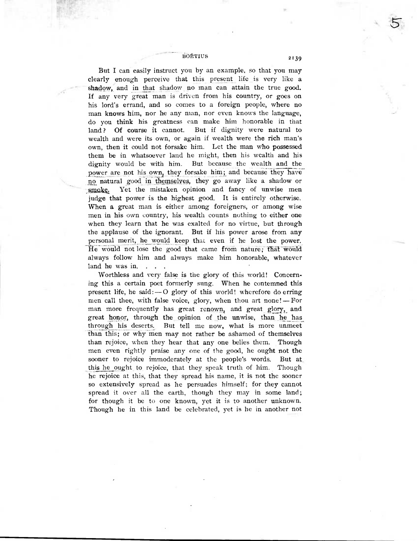But I can easily instruct you by an example, so that you may clearly enough perceive that this present life is very like a shadow, and in that shadow no man can attain the true good. If any very great man is driven from his country, or goes on his lord's errand, and so comes to a foreign people, where no man knows him, nor he any man, nor even knows the language, do you think his greatness can make him honorable in that land? Of course it cannot. But if dignity were natural to wealth and were its own, or again if wealth were the rich man's own, then it could not forsake him. Let the man who possessed them be in whatsoever land he might, then his wealth and his dignity would be with him. But because the wealth and the power are not his own, they forsake him; and because they have no natural good in themselves, they go away like a shadow or smoke. Yet the mistaken opinion and fancy of unwise men judge that power is the highest good. It is entirely otherwise. When a great man is either among foreigners, or among wise men in his own country, his wealth counts nothing to either one when they learn that he was exalted for no virtue, but through the applause of the ignorant. But if his power arose from any personal merit, he would keep that even if he lost the power. He would not lose the good that came from nature; that would always follow him and always make him honorable, whatever land he was in.

Worthless and very false is the glory of this world! Concerning this a certain poet formerly sung. When he contemned this present life, he said:— 0 glory of this world! wherefore do erring men call thee, with false voice, glory, when thou art none! — For man more frequently has great renown, and great glory, and great honor, through the opinion of the unwise, than he has through his deserts. But tell me now, what is more unmeet than this; or why men may not rather be ashamed of themselves than rejoice, when they hear that any one belies them. Though men even rightly praise any one of the good, he ought not the sooner to rejoice immoderately at the people's words. But at this he ought to rejoice, that they speak truth of him. Though he rejoice at this, that they spread his name, it is not the sooner so extensively spread as he persuades himself; for they cannot spread it over all the earth, though they may in some land; for though it be to one known, yet it is to another unknown. Though he in this land be celebrated, yet is he in another not